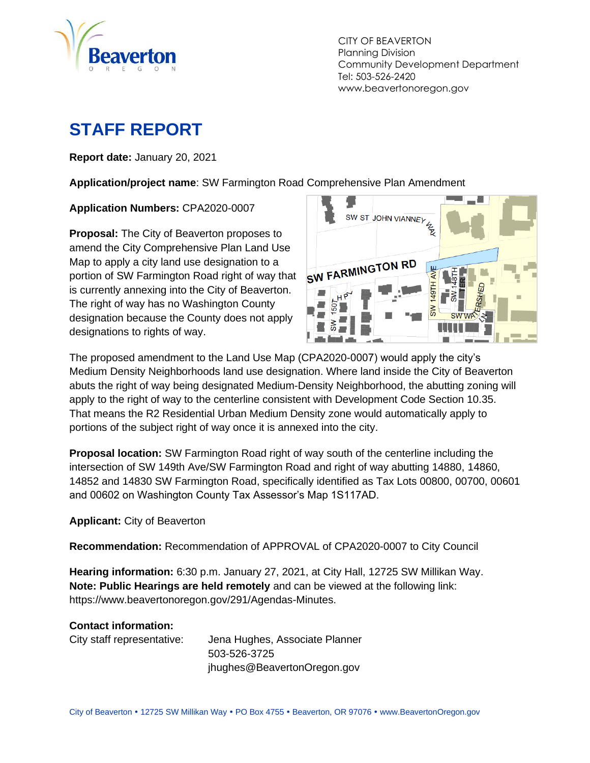

CITY OF BEAVERTON Planning Division Community Development Department Tel: 503-526-2420 www.beavertonoregon.gov

# **STAFF REPORT**

**Report date:** January 20, 2021

**Application/project name**: SW Farmington Road Comprehensive Plan Amendment

#### **Application Numbers:** CPA2020-0007

**Proposal:** The City of Beaverton proposes to amend the City Comprehensive Plan Land Use Map to apply a city land use designation to a portion of SW Farmington Road right of way that is currently annexing into the City of Beaverton. The right of way has no Washington County designation because the County does not apply designations to rights of way.



The proposed amendment to the Land Use Map (CPA2020-0007) would apply the city's Medium Density Neighborhoods land use designation. Where land inside the City of Beaverton abuts the right of way being designated Medium-Density Neighborhood, the abutting zoning will apply to the right of way to the centerline consistent with Development Code Section 10.35. That means the R2 Residential Urban Medium Density zone would automatically apply to portions of the subject right of way once it is annexed into the city.

**Proposal location:** SW Farmington Road right of way south of the centerline including the intersection of SW 149th Ave/SW Farmington Road and right of way abutting 14880, 14860, 14852 and 14830 SW Farmington Road, specifically identified as Tax Lots 00800, 00700, 00601 and 00602 on Washington County Tax Assessor's Map 1S117AD.

#### **Applicant:** City of Beaverton

**Recommendation:** Recommendation of APPROVAL of CPA2020-0007 to City Council

**Hearing information:** 6:30 p.m. January 27, 2021, at City Hall, 12725 SW Millikan Way. **Note: Public Hearings are held remotely** and can be viewed at the following link: https://www.beavertonoregon.gov/291/Agendas-Minutes.

#### **Contact information:**

City staff representative: Jena Hughes, Associate Planner 503-526-3725 jhughes@BeavertonOregon.gov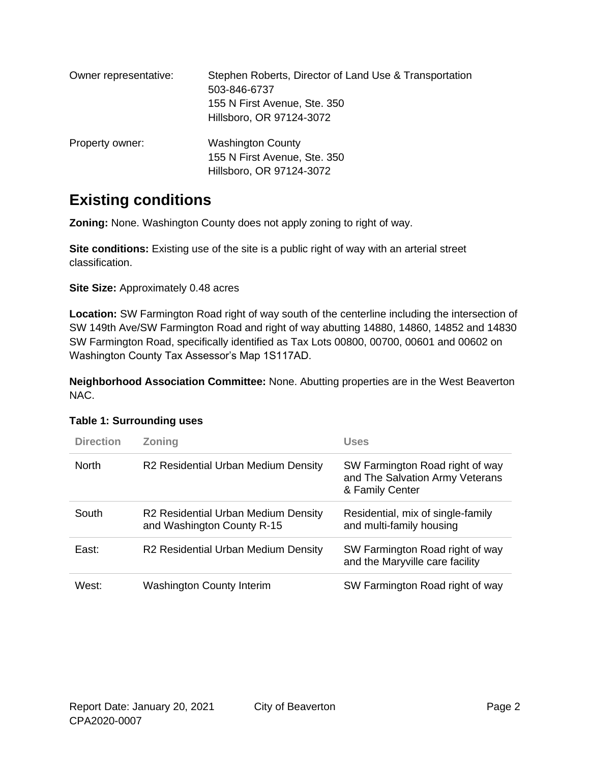| Owner representative: | Stephen Roberts, Director of Land Use & Transportation<br>503-846-6737<br>155 N First Avenue, Ste. 350<br>Hillsboro, OR 97124-3072 |
|-----------------------|------------------------------------------------------------------------------------------------------------------------------------|
| Property owner:       | <b>Washington County</b><br>155 N First Avenue, Ste. 350<br>Hillsboro, OR 97124-3072                                               |

## **Existing conditions**

**Zoning:** None. Washington County does not apply zoning to right of way.

**Site conditions:** Existing use of the site is a public right of way with an arterial street classification.

**Site Size:** Approximately 0.48 acres

**Location:** SW Farmington Road right of way south of the centerline including the intersection of SW 149th Ave/SW Farmington Road and right of way abutting 14880, 14860, 14852 and 14830 SW Farmington Road, specifically identified as Tax Lots 00800, 00700, 00601 and 00602 on Washington County Tax Assessor's Map 1S117AD.

**Neighborhood Association Committee:** None. Abutting properties are in the West Beaverton NAC.

| <b>Direction</b> | <b>Zoning</b>                                                     | <b>Uses</b>                                                                           |
|------------------|-------------------------------------------------------------------|---------------------------------------------------------------------------------------|
| <b>North</b>     | R2 Residential Urban Medium Density                               | SW Farmington Road right of way<br>and The Salvation Army Veterans<br>& Family Center |
| South            | R2 Residential Urban Medium Density<br>and Washington County R-15 | Residential, mix of single-family<br>and multi-family housing                         |
| East:            | R2 Residential Urban Medium Density                               | SW Farmington Road right of way<br>and the Maryville care facility                    |
| West:            | <b>Washington County Interim</b>                                  | SW Farmington Road right of way                                                       |

### <span id="page-1-0"></span>**Table 1: Surrounding uses**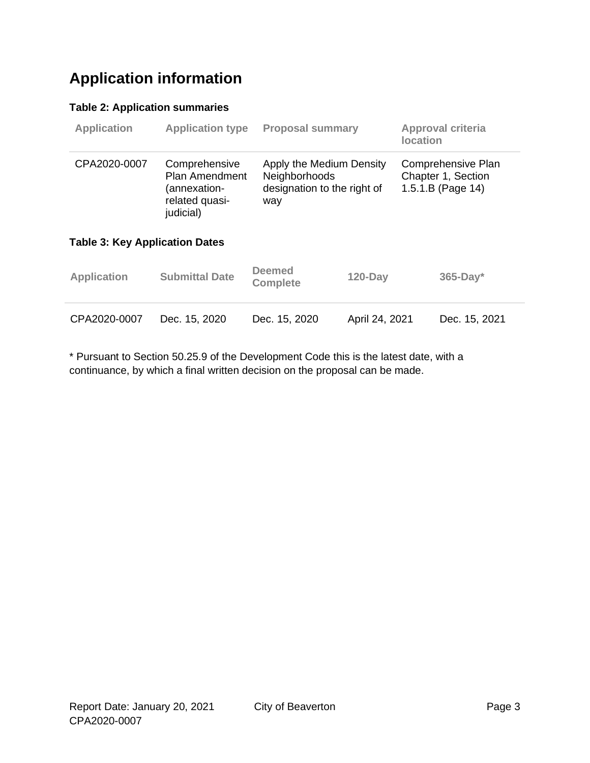## **Application information**

### <span id="page-2-0"></span>**Table 2: Application summaries**

<span id="page-2-1"></span>

| <b>Application</b>                    |                                                                                       | <b>Application type</b><br><b>Proposal summary</b> |                                                         | Approval criteria<br>location |                                                               |  |
|---------------------------------------|---------------------------------------------------------------------------------------|----------------------------------------------------|---------------------------------------------------------|-------------------------------|---------------------------------------------------------------|--|
| CPA2020-0007                          | Comprehensive<br><b>Plan Amendment</b><br>(annexation-<br>related quasi-<br>judicial) | Neighborhoods<br>way                               | Apply the Medium Density<br>designation to the right of |                               | Comprehensive Plan<br>Chapter 1, Section<br>1.5.1.B (Page 14) |  |
| <b>Table 3: Key Application Dates</b> |                                                                                       |                                                    |                                                         |                               |                                                               |  |
| <b>Application</b>                    | <b>Submittal Date</b>                                                                 | <b>Deemed</b><br><b>Complete</b>                   | $120$ -Day                                              |                               | $365$ -Day*                                                   |  |
| CPA2020-0007                          | Dec. 15, 2020                                                                         | Dec. 15, 2020                                      | April 24, 2021                                          |                               | Dec. 15, 2021                                                 |  |

\* Pursuant to Section 50.25.9 of the Development Code this is the latest date, with a continuance, by which a final written decision on the proposal can be made.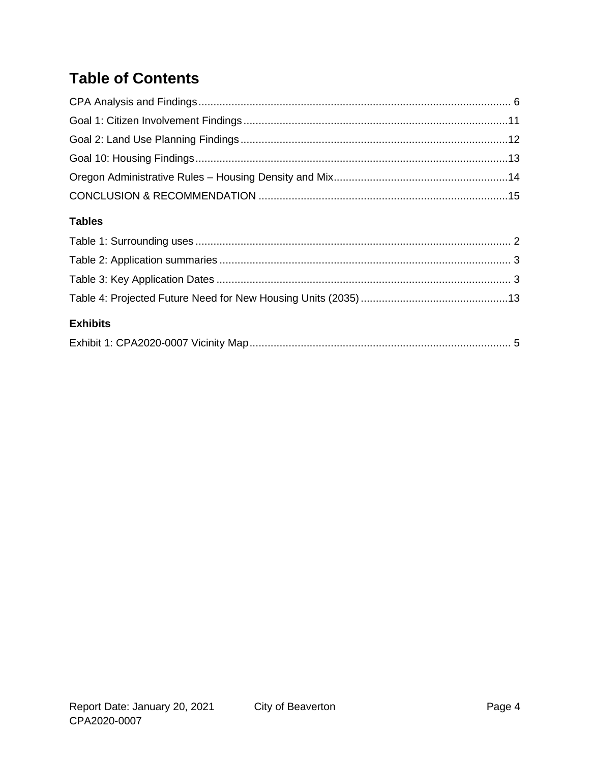# **Table of Contents**

### **Tables**

| <b>Exhibits</b> |  |
|-----------------|--|
|                 |  |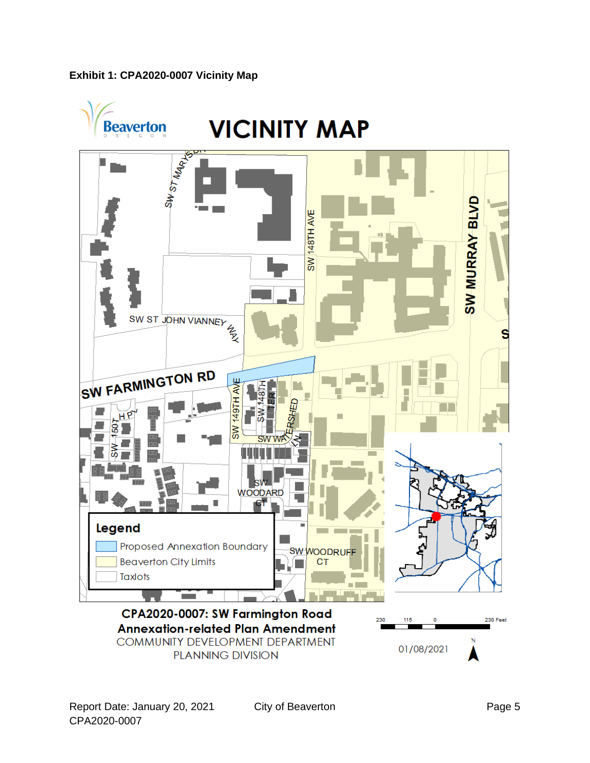#### <span id="page-4-0"></span>**Exhibit 1: CPA2020-0007 Vicinity Map**

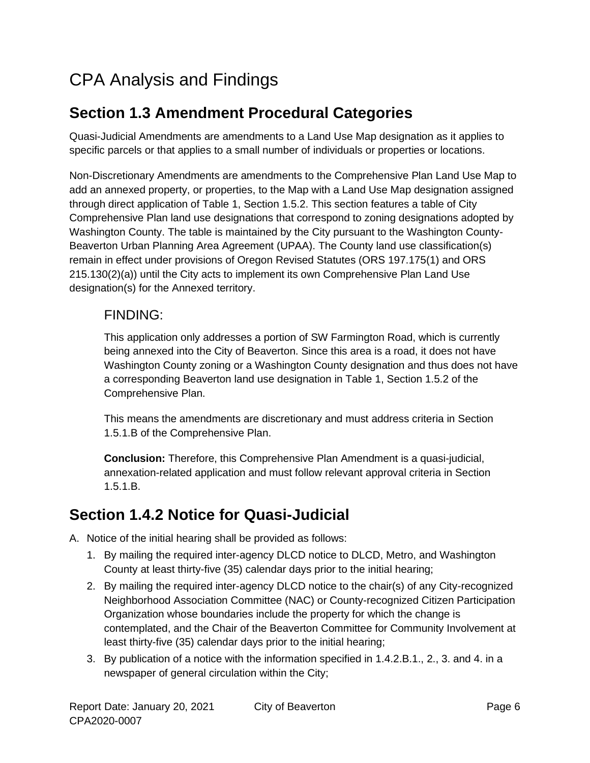# <span id="page-5-0"></span>CPA Analysis and Findings

## **Section 1.3 Amendment Procedural Categories**

Quasi-Judicial Amendments are amendments to a Land Use Map designation as it applies to specific parcels or that applies to a small number of individuals or properties or locations.

Non-Discretionary Amendments are amendments to the Comprehensive Plan Land Use Map to add an annexed property, or properties, to the Map with a Land Use Map designation assigned through direct application of Table 1, Section 1.5.2. This section features a table of City Comprehensive Plan land use designations that correspond to zoning designations adopted by Washington County. The table is maintained by the City pursuant to the Washington County-Beaverton Urban Planning Area Agreement (UPAA). The County land use classification(s) remain in effect under provisions of Oregon Revised Statutes (ORS 197.175(1) and ORS 215.130(2)(a)) until the City acts to implement its own Comprehensive Plan Land Use designation(s) for the Annexed territory.

### FINDING:

This application only addresses a portion of SW Farmington Road, which is currently being annexed into the City of Beaverton. Since this area is a road, it does not have Washington County zoning or a Washington County designation and thus does not have a corresponding Beaverton land use designation in Table 1, Section 1.5.2 of the Comprehensive Plan.

This means the amendments are discretionary and must address criteria in Section 1.5.1.B of the Comprehensive Plan.

**Conclusion:** Therefore, this Comprehensive Plan Amendment is a quasi-judicial, annexation-related application and must follow relevant approval criteria in Section 1.5.1.B.

## <span id="page-5-1"></span>**Section 1.4.2 Notice for Quasi-Judicial**

- A. Notice of the initial hearing shall be provided as follows:
	- 1. By mailing the required inter-agency DLCD notice to DLCD, Metro, and Washington County at least thirty-five (35) calendar days prior to the initial hearing;
	- 2. By mailing the required inter-agency DLCD notice to the chair(s) of any City-recognized Neighborhood Association Committee (NAC) or County-recognized Citizen Participation Organization whose boundaries include the property for which the change is contemplated, and the Chair of the Beaverton Committee for Community Involvement at least thirty-five (35) calendar days prior to the initial hearing;
	- 3. By publication of a notice with the information specified in 1.4.2.B.1., 2., 3. and 4. in a newspaper of general circulation within the City;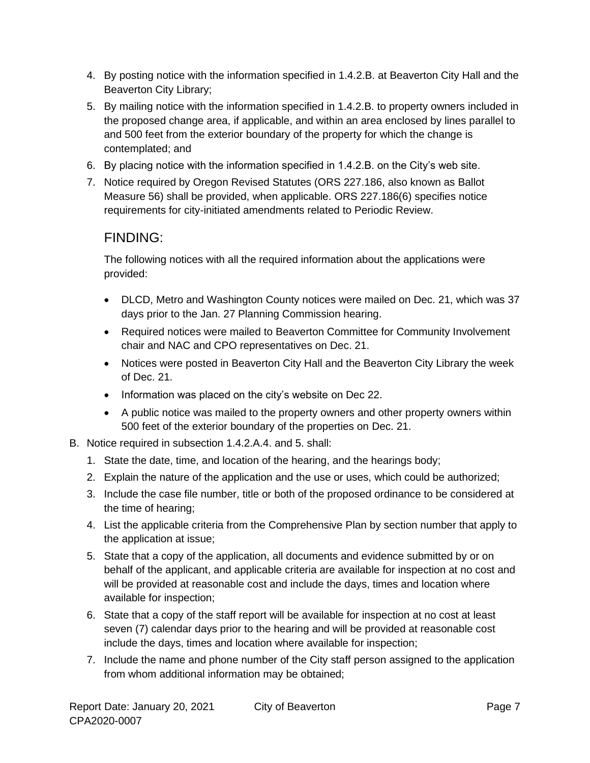- 4. By posting notice with the information specified in 1.4.2.B. at Beaverton City Hall and the Beaverton City Library;
- 5. By mailing notice with the information specified in 1.4.2.B. to property owners included in the proposed change area, if applicable, and within an area enclosed by lines parallel to and 500 feet from the exterior boundary of the property for which the change is contemplated; and
- 6. By placing notice with the information specified in 1.4.2.B. on the City's web site.
- 7. Notice required by Oregon Revised Statutes (ORS 227.186, also known as Ballot Measure 56) shall be provided, when applicable. ORS 227.186(6) specifies notice requirements for city-initiated amendments related to Periodic Review.

### FINDING:

The following notices with all the required information about the applications were provided:

- DLCD, Metro and Washington County notices were mailed on Dec. 21, which was 37 days prior to the Jan. 27 Planning Commission hearing.
- Required notices were mailed to Beaverton Committee for Community Involvement chair and NAC and CPO representatives on Dec. 21.
- Notices were posted in Beaverton City Hall and the Beaverton City Library the week of Dec. 21.
- Information was placed on the city's website on Dec 22.
- A public notice was mailed to the property owners and other property owners within 500 feet of the exterior boundary of the properties on Dec. 21.
- B. Notice required in subsection 1.4.2.A.4. and 5. shall:
	- 1. State the date, time, and location of the hearing, and the hearings body;
	- 2. Explain the nature of the application and the use or uses, which could be authorized;
	- 3. Include the case file number, title or both of the proposed ordinance to be considered at the time of hearing;
	- 4. List the applicable criteria from the Comprehensive Plan by section number that apply to the application at issue;
	- 5. State that a copy of the application, all documents and evidence submitted by or on behalf of the applicant, and applicable criteria are available for inspection at no cost and will be provided at reasonable cost and include the days, times and location where available for inspection;
	- 6. State that a copy of the staff report will be available for inspection at no cost at least seven (7) calendar days prior to the hearing and will be provided at reasonable cost include the days, times and location where available for inspection;
	- 7. Include the name and phone number of the City staff person assigned to the application from whom additional information may be obtained;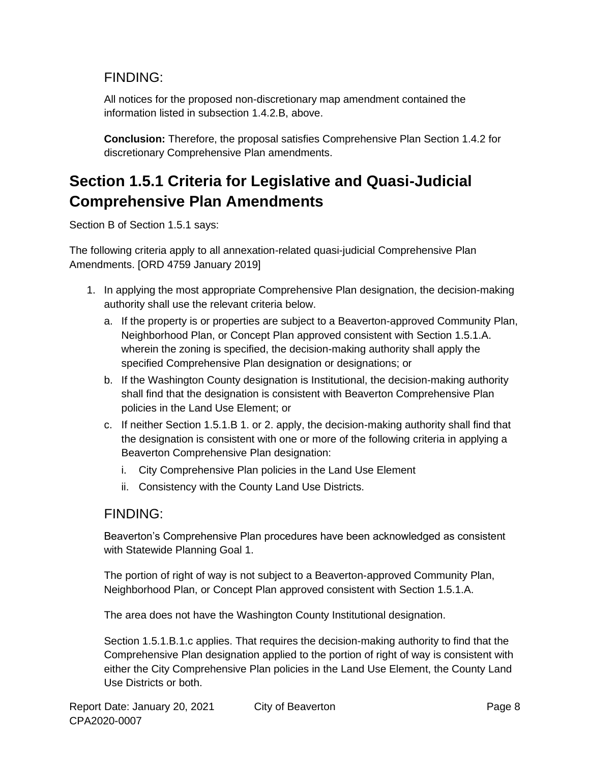### FINDING:

All notices for the proposed non-discretionary map amendment contained the information listed in subsection 1.4.2.B, above.

**Conclusion:** Therefore, the proposal satisfies Comprehensive Plan Section 1.4.2 for discretionary Comprehensive Plan amendments.

## **Section 1.5.1 Criteria for Legislative and Quasi-Judicial Comprehensive Plan Amendments**

Section B of Section 1.5.1 says:

The following criteria apply to all annexation-related quasi-judicial Comprehensive Plan Amendments. [ORD 4759 January 2019]

- 1. In applying the most appropriate Comprehensive Plan designation, the decision-making authority shall use the relevant criteria below.
	- a. If the property is or properties are subject to a Beaverton-approved Community Plan, Neighborhood Plan, or Concept Plan approved consistent with Section 1.5.1.A. wherein the zoning is specified, the decision-making authority shall apply the specified Comprehensive Plan designation or designations; or
	- b. If the Washington County designation is Institutional, the decision-making authority shall find that the designation is consistent with Beaverton Comprehensive Plan policies in the Land Use Element; or
	- c. If neither Section 1.5.1.B 1. or 2. apply, the decision-making authority shall find that the designation is consistent with one or more of the following criteria in applying a Beaverton Comprehensive Plan designation:
		- i. City Comprehensive Plan policies in the Land Use Element
		- ii. Consistency with the County Land Use Districts.

### FINDING:

Beaverton's Comprehensive Plan procedures have been acknowledged as consistent with Statewide Planning Goal 1.

The portion of right of way is not subject to a Beaverton-approved Community Plan, Neighborhood Plan, or Concept Plan approved consistent with Section 1.5.1.A.

The area does not have the Washington County Institutional designation.

Section 1.5.1.B.1.c applies. That requires the decision-making authority to find that the Comprehensive Plan designation applied to the portion of right of way is consistent with either the City Comprehensive Plan policies in the Land Use Element, the County Land Use Districts or both.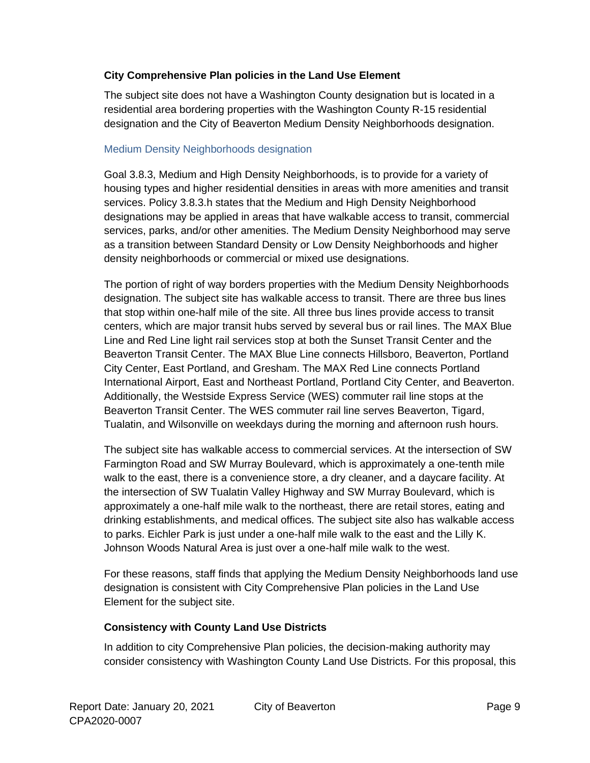#### **City Comprehensive Plan policies in the Land Use Element**

The subject site does not have a Washington County designation but is located in a residential area bordering properties with the Washington County R-15 residential designation and the City of Beaverton Medium Density Neighborhoods designation.

#### Medium Density Neighborhoods designation

Goal 3.8.3, Medium and High Density Neighborhoods, is to provide for a variety of housing types and higher residential densities in areas with more amenities and transit services. Policy 3.8.3.h states that the Medium and High Density Neighborhood designations may be applied in areas that have walkable access to transit, commercial services, parks, and/or other amenities. The Medium Density Neighborhood may serve as a transition between Standard Density or Low Density Neighborhoods and higher density neighborhoods or commercial or mixed use designations.

The portion of right of way borders properties with the Medium Density Neighborhoods designation. The subject site has walkable access to transit. There are three bus lines that stop within one-half mile of the site. All three bus lines provide access to transit centers, which are major transit hubs served by several bus or rail lines. The MAX Blue Line and Red Line light rail services stop at both the Sunset Transit Center and the Beaverton Transit Center. The MAX Blue Line connects Hillsboro, Beaverton, Portland City Center, East Portland, and Gresham. The MAX Red Line connects Portland International Airport, East and Northeast Portland, Portland City Center, and Beaverton. Additionally, the Westside Express Service (WES) commuter rail line stops at the Beaverton Transit Center. The WES commuter rail line serves Beaverton, Tigard, Tualatin, and Wilsonville on weekdays during the morning and afternoon rush hours.

The subject site has walkable access to commercial services. At the intersection of SW Farmington Road and SW Murray Boulevard, which is approximately a one-tenth mile walk to the east, there is a convenience store, a dry cleaner, and a daycare facility. At the intersection of SW Tualatin Valley Highway and SW Murray Boulevard, which is approximately a one-half mile walk to the northeast, there are retail stores, eating and drinking establishments, and medical offices. The subject site also has walkable access to parks. Eichler Park is just under a one-half mile walk to the east and the Lilly K. Johnson Woods Natural Area is just over a one-half mile walk to the west.

For these reasons, staff finds that applying the Medium Density Neighborhoods land use designation is consistent with City Comprehensive Plan policies in the Land Use Element for the subject site.

### **Consistency with County Land Use Districts**

In addition to city Comprehensive Plan policies, the decision-making authority may consider consistency with Washington County Land Use Districts. For this proposal, this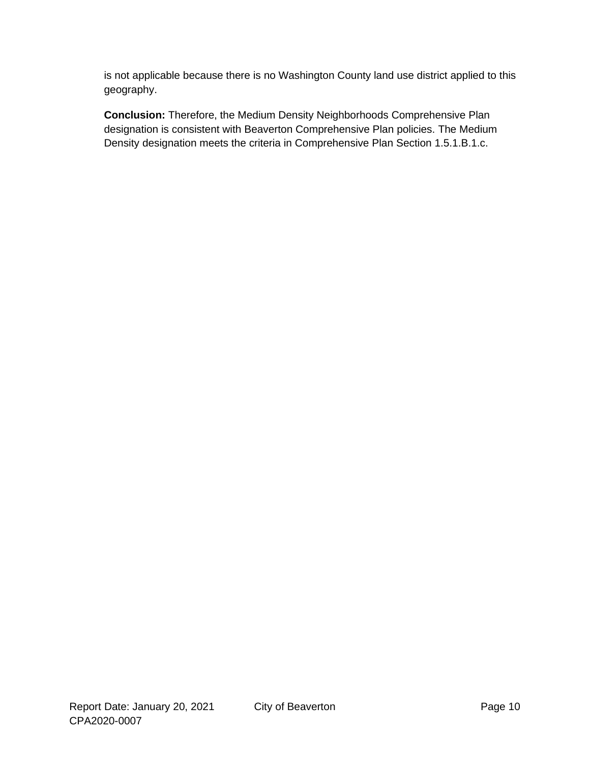is not applicable because there is no Washington County land use district applied to this geography.

**Conclusion:** Therefore, the Medium Density Neighborhoods Comprehensive Plan designation is consistent with Beaverton Comprehensive Plan policies. The Medium Density designation meets the criteria in Comprehensive Plan Section 1.5.1.B.1.c.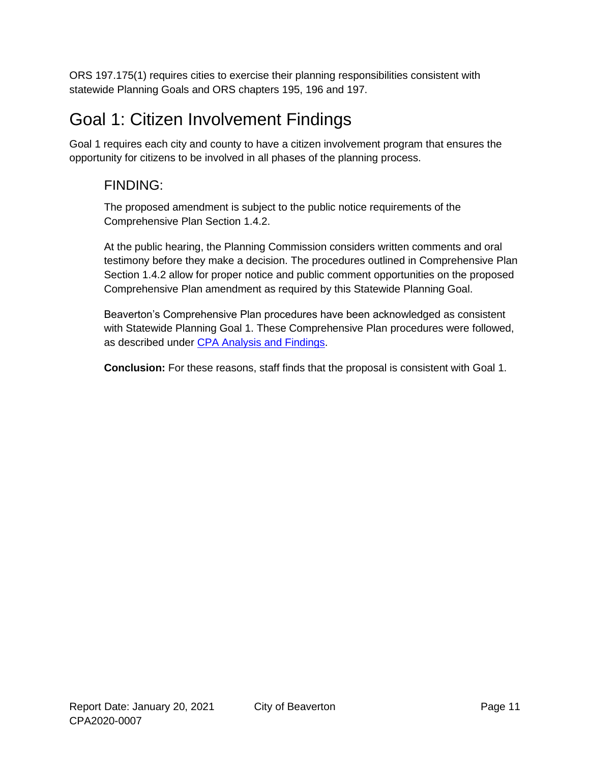<span id="page-10-0"></span>ORS 197.175(1) requires cities to exercise their planning responsibilities consistent with statewide Planning Goals and ORS chapters 195, 196 and 197.

# Goal 1: Citizen Involvement Findings

Goal 1 requires each city and county to have a citizen involvement program that ensures the opportunity for citizens to be involved in all phases of the planning process.

## FINDING:

The proposed amendment is subject to the public notice requirements of the Comprehensive Plan Section 1.4.2.

At the public hearing, the Planning Commission considers written comments and oral testimony before they make a decision. The procedures outlined in Comprehensive Plan Section 1.4.2 allow for proper notice and public comment opportunities on the proposed Comprehensive Plan amendment as required by this Statewide Planning Goal.

Beaverton's Comprehensive Plan procedures have been acknowledged as consistent with Statewide Planning Goal 1. These Comprehensive Plan procedures were followed, as described under [CPA Analysis and Findings.](#page-5-0)

**Conclusion:** For these reasons, staff finds that the proposal is consistent with Goal 1.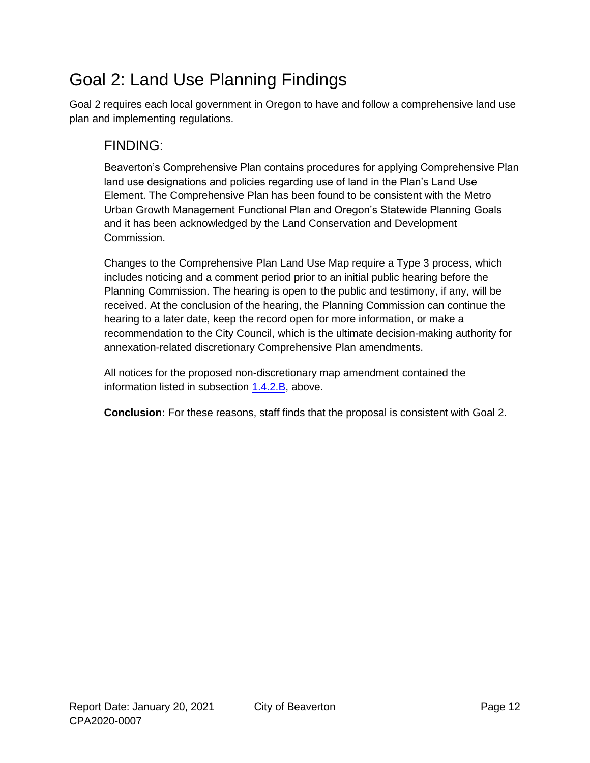# <span id="page-11-0"></span>Goal 2: Land Use Planning Findings

Goal 2 requires each local government in Oregon to have and follow a comprehensive land use plan and implementing regulations.

### FINDING:

Beaverton's Comprehensive Plan contains procedures for applying Comprehensive Plan land use designations and policies regarding use of land in the Plan's Land Use Element. The Comprehensive Plan has been found to be consistent with the Metro Urban Growth Management Functional Plan and Oregon's Statewide Planning Goals and it has been acknowledged by the Land Conservation and Development Commission.

Changes to the Comprehensive Plan Land Use Map require a Type 3 process, which includes noticing and a comment period prior to an initial public hearing before the Planning Commission. The hearing is open to the public and testimony, if any, will be received. At the conclusion of the hearing, the Planning Commission can continue the hearing to a later date, keep the record open for more information, or make a recommendation to the City Council, which is the ultimate decision-making authority for annexation-related discretionary Comprehensive Plan amendments.

All notices for the proposed non-discretionary map amendment contained the information listed in subsection [1.4.2.B,](#page-5-1) above.

**Conclusion:** For these reasons, staff finds that the proposal is consistent with Goal 2.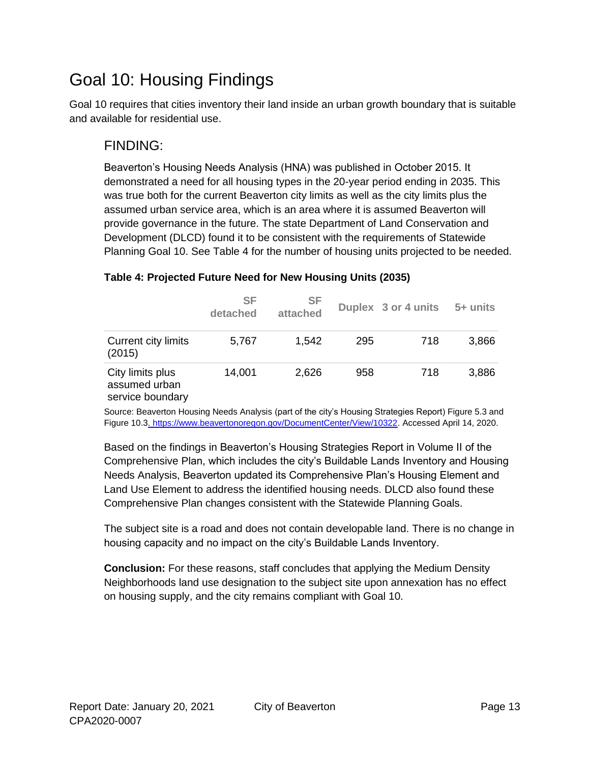# <span id="page-12-0"></span>Goal 10: Housing Findings

Goal 10 requires that cities inventory their land inside an urban growth boundary that is suitable and available for residential use.

### FINDING:

Beaverton's Housing Needs Analysis (HNA) was published in October 2015. It demonstrated a need for all housing types in the 20-year period ending in 2035. This was true both for the current Beaverton city limits as well as the city limits plus the assumed urban service area, which is an area where it is assumed Beaverton will provide governance in the future. The state Department of Land Conservation and Development (DLCD) found it to be consistent with the requirements of Statewide Planning Goal 10. See [Table 4](#page-12-1) for the number of housing units projected to be needed.

|                                                       | SF<br>detached | <b>SF</b><br>attached |     | Duplex 3 or 4 units | 5+ units |
|-------------------------------------------------------|----------------|-----------------------|-----|---------------------|----------|
| Current city limits<br>(2015)                         | 5,767          | 1,542                 | 295 | 718                 | 3,866    |
| City limits plus<br>assumed urban<br>service boundary | 14,001         | 2,626                 | 958 | 718                 | 3,886    |

### <span id="page-12-1"></span>**Table 4: Projected Future Need for New Housing Units (2035)**

Source: Beaverton Housing Needs Analysis (part of the city's Housing Strategies Report) Figure 5.3 and Figure 10.[3. https://www.beavertonoregon.gov/DocumentCenter/View/10322.](https://www.beavertonoregon.gov/DocumentCenter/View/10322) Accessed April 14, 2020.

Based on the findings in Beaverton's Housing Strategies Report in Volume II of the Comprehensive Plan, which includes the city's Buildable Lands Inventory and Housing Needs Analysis, Beaverton updated its Comprehensive Plan's Housing Element and Land Use Element to address the identified housing needs. DLCD also found these Comprehensive Plan changes consistent with the Statewide Planning Goals.

The subject site is a road and does not contain developable land. There is no change in housing capacity and no impact on the city's Buildable Lands Inventory.

**Conclusion:** For these reasons, staff concludes that applying the Medium Density Neighborhoods land use designation to the subject site upon annexation has no effect on housing supply, and the city remains compliant with Goal 10.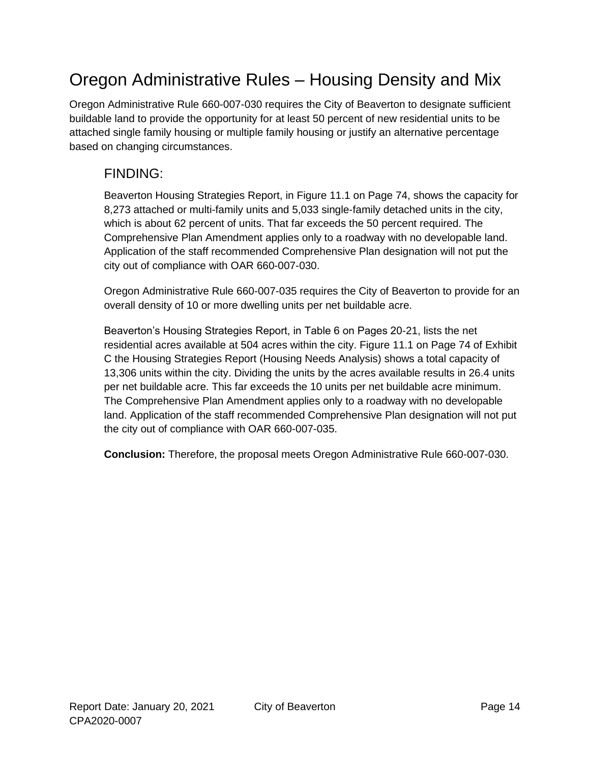# <span id="page-13-0"></span>Oregon Administrative Rules – Housing Density and Mix

Oregon Administrative Rule 660-007-030 requires the City of Beaverton to designate sufficient buildable land to provide the opportunity for at least 50 percent of new residential units to be attached single family housing or multiple family housing or justify an alternative percentage based on changing circumstances.

## FINDING:

Beaverton Housing Strategies Report, in Figure 11.1 on Page 74, shows the capacity for 8,273 attached or multi-family units and 5,033 single-family detached units in the city, which is about 62 percent of units. That far exceeds the 50 percent required. The Comprehensive Plan Amendment applies only to a roadway with no developable land. Application of the staff recommended Comprehensive Plan designation will not put the city out of compliance with OAR 660-007-030.

Oregon Administrative Rule 660-007-035 requires the City of Beaverton to provide for an overall density of 10 or more dwelling units per net buildable acre.

Beaverton's Housing Strategies Report, in Table 6 on Pages 20-21, lists the net residential acres available at 504 acres within the city. Figure 11.1 on Page 74 of Exhibit C the Housing Strategies Report (Housing Needs Analysis) shows a total capacity of 13,306 units within the city. Dividing the units by the acres available results in 26.4 units per net buildable acre. This far exceeds the 10 units per net buildable acre minimum. The Comprehensive Plan Amendment applies only to a roadway with no developable land. Application of the staff recommended Comprehensive Plan designation will not put the city out of compliance with OAR 660-007-035.

**Conclusion:** Therefore, the proposal meets Oregon Administrative Rule 660-007-030.